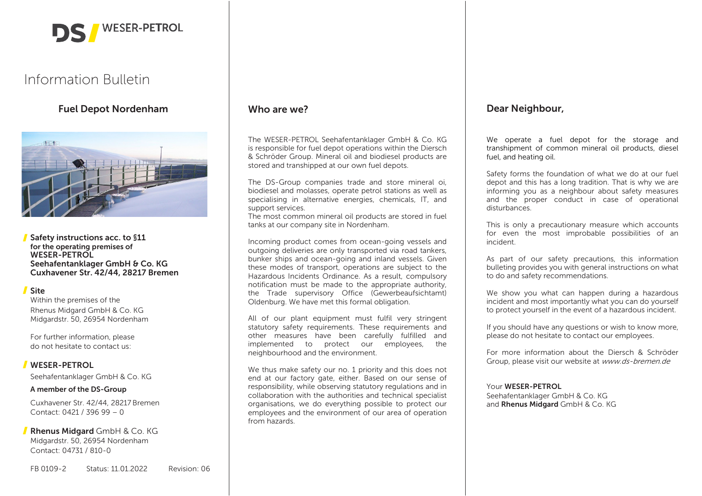

# Information Bulletin

# Fuel Depot Nordenham



Safety instructions acc. to §11 for the operating premises of WESER-PETROL Seehafentanklager GmbH & Co. KG Cuxhavener Str. 42/44, 28217 Bremen

# Site

Within the premises of the Rhenus Midgard GmbH & Co. KG Midgardstr. 50, 26954 Nordenham

For further information, please do not hesitate to contact us:

# WESER-PETROL

Seehafentanklager GmbH & Co. KG

# A member of the DS-Group

Cuxhavener Str. 42/44, 28217 Bremen Contact: 0421 / 396 99 – 0

**Rhenus Midgard** GmbH & Co. KG Midgardstr. 50, 26954 Nordenham Contact: 04731 / 810-0

#### FB 0109-2 Status: 11.01.2022 Revision: 06

# Who are we?

The WESER-PETROL Seehafentanklager GmbH & Co. KG is responsible for fuel depot operations within the Diersch & Schröder Group. Mineral oil and biodiesel products are stored and transhipped at our own fuel depots.

The DS-Group companies trade and store mineral oi, biodiesel and molasses, operate petrol stations as well as specialising in alternative energies, chemicals, IT, and support services.

The most common mineral oil products are stored in fuel tanks at our company site in Nordenham.

Incoming product comes from ocean-going vessels and outgoing deliveries are only transported via road tankers, bunker ships and ocean-going and inland vessels. Given these modes of transport, operations are subject to the Hazardous Incidents Ordinance. As a result, compulsory notification must be made to the appropriate authority, the Trade supervisory Office (Gewerbeaufsichtamt) Oldenburg. We have met this formal obligation.

All of our plant equipment must fulfil very stringent statutory safety requirements. These requirements and other measures have been carefully fulfilled and implemented to protect our employees, the neighbourhood and the environment.

We thus make safety our no. 1 priority and this does not end at our factory gate, either. Based on our sense of responsibility, while observing statutory regulations and in collaboration with the authorities and technical specialist organisations, we do everything possible to protect our employees and the environment of our area of operation from hazards.

# Dear Neighbour,

We operate a fuel depot for the storage and transhipment of common mineral oil products, diesel fuel, and heating oil.

Safety forms the foundation of what we do at our fuel depot and this has a long tradition. That is why we are informing you as a neighbour about safety measures and the proper conduct in case of operational disturbances.

This is only a precautionary measure which accounts for even the most improbable possibilities of an incident.

As part of our safety precautions, this information bulleting provides you with general instructions on what to do and safety recommendations.

We show you what can happen during a hazardous incident and most importantly what you can do yourself to protect yourself in the event of a hazardous incident.

If you should have any questions or wish to know more, please do not hesitate to contact our employees.

For more information about the Diersch & Schröder Group, please visit our website at www.ds-bremen.de

#### Your WESER-PETROL

Seehafentanklager GmbH & Co. KG and Rhenus Midgard GmbH & Co. KG